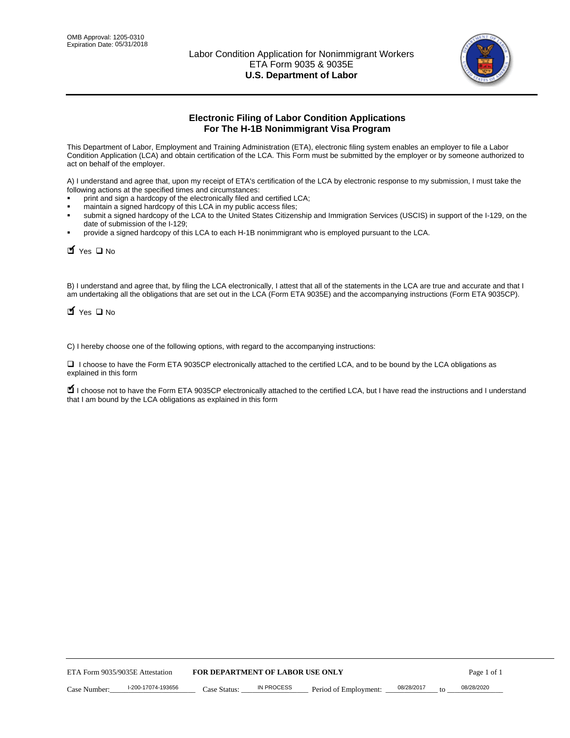

# **Electronic Filing of Labor Condition Applications For The H-1B Nonimmigrant Visa Program**

This Department of Labor, Employment and Training Administration (ETA), electronic filing system enables an employer to file a Labor Condition Application (LCA) and obtain certification of the LCA. This Form must be submitted by the employer or by someone authorized to act on behalf of the employer.

A) I understand and agree that, upon my receipt of ETA's certification of the LCA by electronic response to my submission, I must take the following actions at the specified times and circumstances:

- print and sign a hardcopy of the electronically filed and certified LCA;
- maintain a signed hardcopy of this LCA in my public access files;
- submit a signed hardcopy of the LCA to the United States Citizenship and Immigration Services (USCIS) in support of the I-129, on the date of submission of the I-129;
- provide a signed hardcopy of this LCA to each H-1B nonimmigrant who is employed pursuant to the LCA.

| Yes O No                        |                                                                                                                                                                                                                                                                                     |                                  |                       |                  |             |
|---------------------------------|-------------------------------------------------------------------------------------------------------------------------------------------------------------------------------------------------------------------------------------------------------------------------------------|----------------------------------|-----------------------|------------------|-------------|
| $\blacksquare$ Yes $\square$ No | B) I understand and agree that, by filing the LCA electronically, I attest that all of the statements in the LCA are true and accurate and th<br>am undertaking all the obligations that are set out in the LCA (Form ETA 9035E) and the accompanying instructions (Form ETA 9035CF |                                  |                       |                  |             |
|                                 | C) I hereby choose one of the following options, with regard to the accompanying instructions:                                                                                                                                                                                      |                                  |                       |                  |             |
| explained in this form          | □ I choose to have the Form ETA 9035CP electronically attached to the certified LCA, and to be bound by the LCA obligations as                                                                                                                                                      |                                  |                       |                  |             |
|                                 | I choose not to have the Form ETA 9035CP electronically attached to the certified LCA, but I have read the instructions and I unders<br>that I am bound by the LCA obligations as explained in this form                                                                            |                                  |                       |                  |             |
|                                 |                                                                                                                                                                                                                                                                                     |                                  |                       |                  |             |
|                                 |                                                                                                                                                                                                                                                                                     |                                  |                       |                  |             |
|                                 |                                                                                                                                                                                                                                                                                     |                                  |                       |                  |             |
|                                 |                                                                                                                                                                                                                                                                                     |                                  |                       |                  |             |
|                                 |                                                                                                                                                                                                                                                                                     |                                  |                       |                  |             |
|                                 |                                                                                                                                                                                                                                                                                     |                                  |                       |                  |             |
|                                 |                                                                                                                                                                                                                                                                                     |                                  |                       |                  |             |
|                                 |                                                                                                                                                                                                                                                                                     |                                  |                       |                  |             |
|                                 |                                                                                                                                                                                                                                                                                     |                                  |                       |                  |             |
|                                 |                                                                                                                                                                                                                                                                                     |                                  |                       |                  |             |
| ETA Form 9035/9035E Attestation |                                                                                                                                                                                                                                                                                     | FOR DEPARTMENT OF LABOR USE ONLY |                       |                  | Page 1 of 1 |
| Case Number:                    | I-200-17074-193656<br>Case Status:                                                                                                                                                                                                                                                  | <b>IN PROCESS</b>                | Period of Employment: | 08/28/2017<br>to | 08/28/2020  |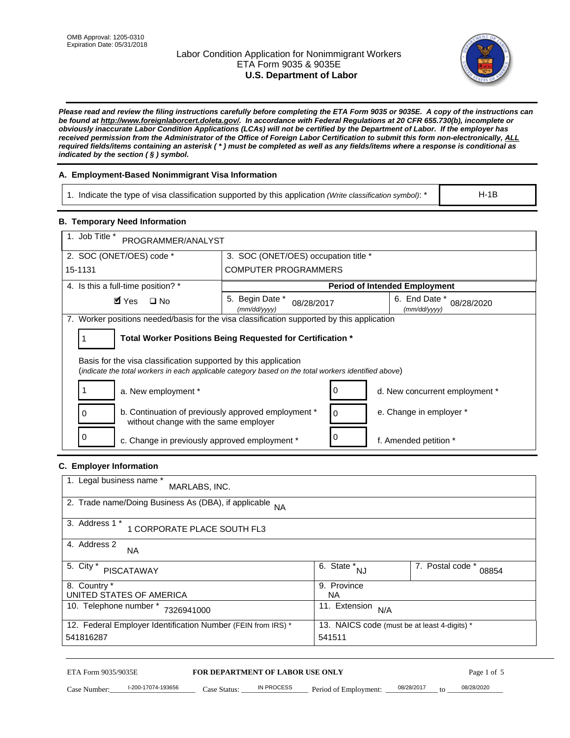# Labor Condition Application for Nonimmigrant Workers ETA Form 9035 & 9035E **U.S. Department of Labor**



*Please read and review the filing instructions carefully before completing the ETA Form 9035 or 9035E. A copy of the instructions can be found at http://www.foreignlaborcert.doleta.gov/. In accordance with Federal Regulations at 20 CFR 655.730(b), incomplete or obviously inaccurate Labor Condition Applications (LCAs) will not be certified by the Department of Labor. If the employer has received permission from the Administrator of the Office of Foreign Labor Certification to submit this form non-electronically, ALL required fields/items containing an asterisk ( \* ) must be completed as well as any fields/items where a response is conditional as indicated by the section ( § ) symbol.* 

# **A. Employment-Based Nonimmigrant Visa Information**

1. Indicate the type of visa classification supported by this application *(Write classification symbol)*: \*

### **B. Temporary Need Information**

| 1. Indicate the type of visa classification supported by this application (Write classification symbol): *                                                              |                                                                        |                                      |                                              | $H-1B$                         |
|-------------------------------------------------------------------------------------------------------------------------------------------------------------------------|------------------------------------------------------------------------|--------------------------------------|----------------------------------------------|--------------------------------|
| <b>B. Temporary Need Information</b>                                                                                                                                    |                                                                        |                                      |                                              |                                |
| 1. Job Title *<br>PROGRAMMER/ANALYST                                                                                                                                    |                                                                        |                                      |                                              |                                |
| 2. SOC (ONET/OES) code *                                                                                                                                                | 3. SOC (ONET/OES) occupation title *                                   |                                      |                                              |                                |
| 15-1131                                                                                                                                                                 | <b>COMPUTER PROGRAMMERS</b>                                            |                                      |                                              |                                |
| 4. Is this a full-time position? *                                                                                                                                      |                                                                        |                                      | <b>Period of Intended Employment</b>         |                                |
| $\blacksquare$ Yes<br>$\square$ No                                                                                                                                      | 5. Begin Date *<br>08/28/2017<br>(mm/dd/yyyy)                          |                                      | 6. End Date *<br>(mm/dd/yyyy)                | 08/28/2020                     |
| 7. Worker positions needed/basis for the visa classification supported by this application                                                                              |                                                                        |                                      |                                              |                                |
| Total Worker Positions Being Requested for Certification *<br>1                                                                                                         |                                                                        |                                      |                                              |                                |
| Basis for the visa classification supported by this application<br>(indicate the total workers in each applicable category based on the total workers identified above) |                                                                        |                                      |                                              |                                |
| 1<br>a. New employment *                                                                                                                                                |                                                                        | 0                                    |                                              | d. New concurrent employment * |
| b. Continuation of previously approved employment *<br>0<br>without change with the same employer                                                                       | 0                                                                      | e. Change in employer *              |                                              |                                |
| 0<br>c. Change in previously approved employment *                                                                                                                      |                                                                        | 0                                    | f. Amended petition *                        |                                |
| C. Employer Information                                                                                                                                                 |                                                                        |                                      |                                              |                                |
| 1. Legal business name *<br>MARLABS, INC.                                                                                                                               |                                                                        |                                      |                                              |                                |
| 2. Trade name/Doing Business As (DBA), if applicable                                                                                                                    | <b>NA</b>                                                              |                                      |                                              |                                |
| 3. Address 1 *<br>1 CORPORATE PLACE SOUTH FL3                                                                                                                           |                                                                        |                                      |                                              |                                |
| 4. Address 2<br>NA.                                                                                                                                                     |                                                                        |                                      |                                              |                                |
| 5. City *<br><b>PISCATAWAY</b>                                                                                                                                          |                                                                        | $\overline{6. \text{ State}}^*_{NJ}$ |                                              | 7. Postal code *<br>08854      |
| 8. Country *<br>UNITED STATES OF AMERICA                                                                                                                                |                                                                        | 9. Province<br><b>NA</b>             |                                              |                                |
| 10. Telephone number * 7326941000                                                                                                                                       |                                                                        | 11. Extension $N/A$                  |                                              |                                |
| 12. Federal Employer Identification Number (FEIN from IRS) *<br>541816287                                                                                               |                                                                        | 541511                               | 13. NAICS code (must be at least 4-digits) * |                                |
| ETA Form 9035/9035E<br>I-200-17074-193656<br>Case Number:                                                                                                               | <b>FOR DEPARTMENT OF LABOR USE ONLY</b><br>IN PROCESS<br>$Case$ Statue | Period of Employment:                | 08/28/2017                                   | Page 1 of 5<br>08/28/2020      |

# **C. Employer Information**

| 1. Legal business name *<br>MARLABS, INC.                                                                    |                         |                           |
|--------------------------------------------------------------------------------------------------------------|-------------------------|---------------------------|
| 2. Trade name/Doing Business As (DBA), if applicable NA                                                      |                         |                           |
| 3. Address 1 *<br>1 CORPORATE PLACE SOUTH FL3                                                                |                         |                           |
| 4. Address 2<br><b>NA</b>                                                                                    |                         |                           |
| 5. City *<br><b>PISCATAWAY</b>                                                                               | 6. State *<br><b>NJ</b> | 7. Postal code *<br>08854 |
| 8. Country *                                                                                                 | 9. Province             |                           |
| UNITED STATES OF AMERICA                                                                                     | NA.                     |                           |
| 10. Telephone number *<br>7326941000                                                                         | 11. Extension<br>N/A    |                           |
| 12. Federal Employer Identification Number (FEIN from IRS) *<br>13. NAICS code (must be at least 4-digits) * |                         |                           |
| 541816287                                                                                                    | 541511                  |                           |

# ETA Form 9035/9035E **FOR DEPARTMENT OF LABOR USE ONLY** Page 1 of 5<br>Case Number: 1-200-17074-193656 Case Status: IN PROCESS Period of Employment: 08/28/2017 to 08/28/2020

Case Number: 1-200-17074-193656 Case Status: IN PROCESS Period of Employment: 08/28/2017 to 08/28/2020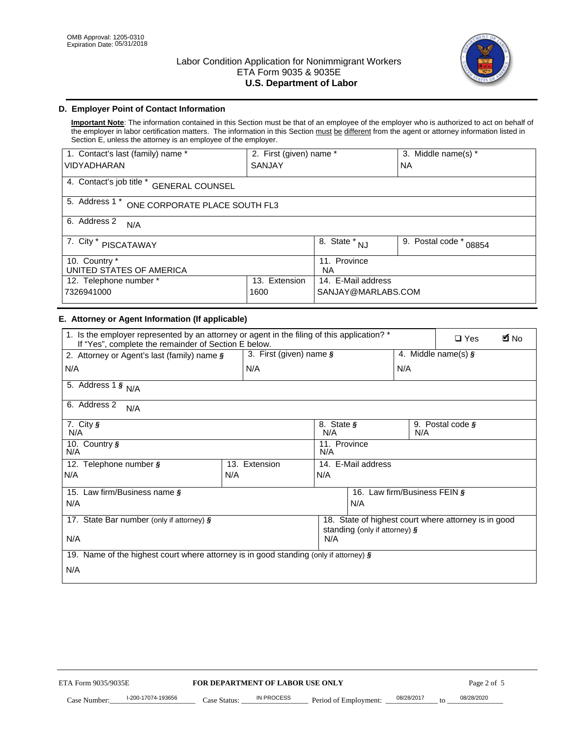

# **D. Employer Point of Contact Information**

**Important Note**: The information contained in this Section must be that of an employee of the employer who is authorized to act on behalf of the employer in labor certification matters. The information in this Section must be different from the agent or attorney information listed in Section E, unless the attorney is an employee of the employer.

| 1. Contact's last (family) name *                  | 2. First (given) name *   |                                | 3. Middle name(s) *       |  |
|----------------------------------------------------|---------------------------|--------------------------------|---------------------------|--|
| <b>VIDYADHARAN</b>                                 | <b>SANJAY</b>             |                                | <b>NA</b>                 |  |
| 4. Contact's job title *<br><b>GENERAL COUNSEL</b> |                           |                                |                           |  |
| 5. Address 1 *<br>ONE CORPORATE PLACE SOUTH FL3    |                           |                                |                           |  |
| 6. Address 2<br>N/A                                |                           |                                |                           |  |
| 7. City $*$<br>PISCATAWAY                          |                           | $\overline{8}$ . State *<br>NJ | 9. Postal code *<br>08854 |  |
| 10. Country *<br>UNITED STATES OF AMERICA          | 11. Province<br><b>NA</b> |                                |                           |  |
| Extension<br>12. Telephone number *<br>13.         |                           | 14. E-Mail address             |                           |  |
| 7326941000<br>1600                                 |                           | SANJAY@MARLABS.COM             |                           |  |

# **E. Attorney or Agent Information (If applicable)**

| VIDYADHARAN                                                                                                                                         | SANJAY                           |                                           |                                          | <b>NA</b>        |                                                      |             |
|-----------------------------------------------------------------------------------------------------------------------------------------------------|----------------------------------|-------------------------------------------|------------------------------------------|------------------|------------------------------------------------------|-------------|
| 4. Contact's job title * GENERAL COUNSEL                                                                                                            |                                  |                                           |                                          |                  |                                                      |             |
| 5. Address 1 * ONE CORPORATE PLACE SOUTH FL3                                                                                                        |                                  |                                           |                                          |                  |                                                      |             |
| 6. Address 2<br>N/A                                                                                                                                 |                                  |                                           |                                          |                  |                                                      |             |
| 7. City * PISCATAWAY                                                                                                                                |                                  | $\overline{\phantom{a}}$ 8. State $^*$ NJ |                                          | 9. Postal code * | 08854                                                |             |
| 10. Country *<br>UNITED STATES OF AMERICA                                                                                                           |                                  | 11. Province<br>NA                        |                                          |                  |                                                      |             |
| 12. Telephone number *<br>7326941000                                                                                                                | 13. Extension<br>1600            |                                           | 14. E-Mail address<br>SANJAY@MARLABS.COM |                  |                                                      |             |
| E. Attorney or Agent Information (If applicable)                                                                                                    |                                  |                                           |                                          |                  |                                                      |             |
| 1. Is the employer represented by an attorney or agent in the filing of this application? *<br>If "Yes", complete the remainder of Section E below. |                                  |                                           |                                          |                  | $\Box$ Yes                                           | <b>M</b> No |
| 2. Attorney or Agent's last (family) name §                                                                                                         | 3. First (given) name §          |                                           |                                          |                  | 4. Middle name(s) $\sqrt{s}$                         |             |
| N/A                                                                                                                                                 | N/A                              |                                           |                                          | N/A              |                                                      |             |
| 5. Address 1 $\frac{1}{9}$ N/A                                                                                                                      |                                  |                                           |                                          |                  |                                                      |             |
| 6. Address 2<br>N/A                                                                                                                                 |                                  |                                           |                                          |                  |                                                      |             |
| 7. City §<br>N/A                                                                                                                                    |                                  | N/A                                       | 8. State §<br>9. Postal code §<br>N/A    |                  |                                                      |             |
| 10. Country §<br>N/A                                                                                                                                |                                  | 11. Province<br>N/A                       |                                          |                  |                                                      |             |
| 12. Telephone number §                                                                                                                              | 13. Extension                    | 14. E-Mail address                        |                                          |                  |                                                      |             |
| N/A                                                                                                                                                 | N/A                              | N/A                                       |                                          |                  |                                                      |             |
| 15. Law firm/Business name §                                                                                                                        |                                  |                                           | 16. Law firm/Business FEIN §             |                  |                                                      |             |
| N/A                                                                                                                                                 |                                  |                                           | N/A                                      |                  |                                                      |             |
| 17. State Bar number (only if attorney) §                                                                                                           |                                  |                                           | standing (only if attorney) §            |                  | 18. State of highest court where attorney is in good |             |
| N/A                                                                                                                                                 |                                  | N/A                                       |                                          |                  |                                                      |             |
| 19. Name of the highest court where attorney is in good standing (only if attorney) §                                                               |                                  |                                           |                                          |                  |                                                      |             |
| N/A                                                                                                                                                 |                                  |                                           |                                          |                  |                                                      |             |
|                                                                                                                                                     |                                  |                                           |                                          |                  |                                                      |             |
|                                                                                                                                                     |                                  |                                           |                                          |                  |                                                      |             |
|                                                                                                                                                     |                                  |                                           |                                          |                  |                                                      |             |
|                                                                                                                                                     |                                  |                                           |                                          |                  |                                                      |             |
|                                                                                                                                                     |                                  |                                           |                                          |                  |                                                      |             |
|                                                                                                                                                     |                                  |                                           |                                          |                  |                                                      |             |
|                                                                                                                                                     |                                  |                                           |                                          |                  |                                                      |             |
| ETA Form 9035/9035E                                                                                                                                 | FOR DEPARTMENT OF LABOR USE ONLY |                                           |                                          |                  | Page 2 of 5                                          |             |
| I-200-17074-193656                                                                                                                                  | IN PROCESS                       |                                           |                                          | 08/28/2017       | 08/28/2020                                           |             |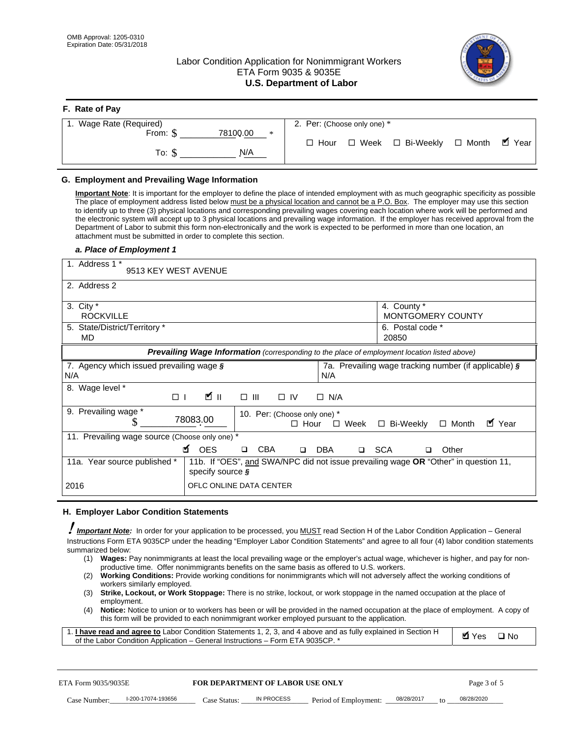**F. Rate of Pay** 

# Labor Condition Application for Nonimmigrant Workers ETA Form 9035 & 9035E **U.S. Department of Labor**



| <b>F.</b> Rate of Pay          |                                   |
|--------------------------------|-----------------------------------|
| 1. Wage Rate (Required)        | 2. Per: (Choose only one) *       |
| 78100.00<br>From: \$<br>$\ast$ | □ Week □ Bi-Weekly □ Month ■ Year |
| N/A<br>To: \$                  | $\Box$ Hour                       |

## **G. Employment and Prevailing Wage Information**

#### *a. Place of Employment 1*

|     | From: \$                                                                                                                                                                                                                                                                                                                                                                                                                                                                                                                                                                                                                                                                                                                                                                                                                                  | 78100.00<br>$\ast$<br>To: $\S$<br>N/A                                                                                                                                                                                                                                                                                                                                                                                                                                                                                                                                                                                                                                                                                                |             | $\Box$ Hour |                       |       | $\Box$ Week $\Box$ Bi-Weekly                          |              | $\Box$ Month |              | $\blacksquare$ Year |
|-----|-------------------------------------------------------------------------------------------------------------------------------------------------------------------------------------------------------------------------------------------------------------------------------------------------------------------------------------------------------------------------------------------------------------------------------------------------------------------------------------------------------------------------------------------------------------------------------------------------------------------------------------------------------------------------------------------------------------------------------------------------------------------------------------------------------------------------------------------|--------------------------------------------------------------------------------------------------------------------------------------------------------------------------------------------------------------------------------------------------------------------------------------------------------------------------------------------------------------------------------------------------------------------------------------------------------------------------------------------------------------------------------------------------------------------------------------------------------------------------------------------------------------------------------------------------------------------------------------|-------------|-------------|-----------------------|-------|-------------------------------------------------------|--------------|--------------|--------------|---------------------|
|     | G. Employment and Prevailing Wage Information<br>Important Note: It is important for the employer to define the place of intended employment with as much geographic specificity as possible<br>The place of employment address listed below must be a physical location and cannot be a P.O. Box. The employer may use this section<br>to identify up to three (3) physical locations and corresponding prevailing wages covering each location where work will be performed and<br>the electronic system will accept up to 3 physical locations and prevailing wage information. If the employer has received approval from the<br>Department of Labor to submit this form non-electronically and the work is expected to be performed in more than one location, an<br>attachment must be submitted in order to complete this section. |                                                                                                                                                                                                                                                                                                                                                                                                                                                                                                                                                                                                                                                                                                                                      |             |             |                       |       |                                                       |              |              |              |                     |
|     | a. Place of Employment 1<br>1. Address 1 *<br>9513 KEY WEST AVENUE                                                                                                                                                                                                                                                                                                                                                                                                                                                                                                                                                                                                                                                                                                                                                                        |                                                                                                                                                                                                                                                                                                                                                                                                                                                                                                                                                                                                                                                                                                                                      |             |             |                       |       |                                                       |              |              |              |                     |
|     | 2. Address 2                                                                                                                                                                                                                                                                                                                                                                                                                                                                                                                                                                                                                                                                                                                                                                                                                              |                                                                                                                                                                                                                                                                                                                                                                                                                                                                                                                                                                                                                                                                                                                                      |             |             |                       |       |                                                       |              |              |              |                     |
|     | 3. City $*$<br><b>ROCKVILLE</b><br>5. State/District/Territory *                                                                                                                                                                                                                                                                                                                                                                                                                                                                                                                                                                                                                                                                                                                                                                          |                                                                                                                                                                                                                                                                                                                                                                                                                                                                                                                                                                                                                                                                                                                                      |             |             |                       |       | 4. County *<br>MONTGOMERY COUNTY<br>6. Postal code *  |              |              |              |                     |
|     | MD                                                                                                                                                                                                                                                                                                                                                                                                                                                                                                                                                                                                                                                                                                                                                                                                                                        | Prevailing Wage Information (corresponding to the place of employment location listed above)                                                                                                                                                                                                                                                                                                                                                                                                                                                                                                                                                                                                                                         |             |             |                       | 20850 |                                                       |              |              |              |                     |
| N/A | 7. Agency which issued prevailing wage §                                                                                                                                                                                                                                                                                                                                                                                                                                                                                                                                                                                                                                                                                                                                                                                                  |                                                                                                                                                                                                                                                                                                                                                                                                                                                                                                                                                                                                                                                                                                                                      |             | N/A         |                       |       | 7a. Prevailing wage tracking number (if applicable) § |              |              |              |                     |
|     | 8. Wage level *<br>$\Box$                                                                                                                                                                                                                                                                                                                                                                                                                                                                                                                                                                                                                                                                                                                                                                                                                 | <b>M</b><br>$\Box$<br>III                                                                                                                                                                                                                                                                                                                                                                                                                                                                                                                                                                                                                                                                                                            | $\Box$ IV   | $\Box$ N/A  |                       |       |                                                       |              |              |              |                     |
|     | 9. Prevailing wage *<br>S                                                                                                                                                                                                                                                                                                                                                                                                                                                                                                                                                                                                                                                                                                                                                                                                                 | 10. Per: (Choose only one) *<br>78083.00                                                                                                                                                                                                                                                                                                                                                                                                                                                                                                                                                                                                                                                                                             | $\Box$ Hour |             | $\Box$ Week           |       | □ Bi-Weekly                                           | $\Box$ Month |              | ■ Year       |                     |
|     | 11. Prevailing wage source (Choose only one) *                                                                                                                                                                                                                                                                                                                                                                                                                                                                                                                                                                                                                                                                                                                                                                                            | <b>¤</b> OES<br><b>CBA</b><br>$\Box$                                                                                                                                                                                                                                                                                                                                                                                                                                                                                                                                                                                                                                                                                                 | $\Box$      | DBA         |                       | □ SCA | □                                                     | Other        |              |              |                     |
|     | 11a. Year source published *                                                                                                                                                                                                                                                                                                                                                                                                                                                                                                                                                                                                                                                                                                                                                                                                              | 11b. If "OES", and SWA/NPC did not issue prevailing wage OR "Other" in question 11,<br>specify source $\boldsymbol{\S}$                                                                                                                                                                                                                                                                                                                                                                                                                                                                                                                                                                                                              |             |             |                       |       |                                                       |              |              |              |                     |
|     | 2016                                                                                                                                                                                                                                                                                                                                                                                                                                                                                                                                                                                                                                                                                                                                                                                                                                      | OFLC ONLINE DATA CENTER                                                                                                                                                                                                                                                                                                                                                                                                                                                                                                                                                                                                                                                                                                              |             |             |                       |       |                                                       |              |              |              |                     |
|     | H. Employer Labor Condition Statements                                                                                                                                                                                                                                                                                                                                                                                                                                                                                                                                                                                                                                                                                                                                                                                                    |                                                                                                                                                                                                                                                                                                                                                                                                                                                                                                                                                                                                                                                                                                                                      |             |             |                       |       |                                                       |              |              |              |                     |
|     | <b>Important Note:</b> In order for your application to be processed, you MUST read Section H of the Labor Condition Application - General<br>Instructions Form ETA 9035CP under the heading "Employer Labor Condition Statements" and agree to all four (4) labor condition statements<br>summarized below:<br>(1)<br>(2)<br>workers similarly employed.<br>(3)<br>employment.<br>(4)<br>1. <i>I have read and agree to</i> Labor Condition Statements 1, 2, 3, and 4 above and as fully explained in Section H<br>of the Labor Condition Application - General Instructions - Form ETA 9035CP. *                                                                                                                                                                                                                                        | Wages: Pay nonimmigrants at least the local prevailing wage or the employer's actual wage, whichever is higher, and pay for non-<br>productive time. Offer nonimmigrants benefits on the same basis as offered to U.S. workers.<br><b>Working Conditions:</b> Provide working conditions for nonimmigrants which will not adversely affect the working conditions of<br>Strike, Lockout, or Work Stoppage: There is no strike, lockout, or work stoppage in the named occupation at the place of<br>Notice: Notice to union or to workers has been or will be provided in the named occupation at the place of employment. A copy of<br>this form will be provided to each nonimmigrant worker employed pursuant to the application. |             |             |                       |       |                                                       |              | <b>Ø</b> Yes | $\square$ No |                     |
|     | ETA Form 9035/9035E                                                                                                                                                                                                                                                                                                                                                                                                                                                                                                                                                                                                                                                                                                                                                                                                                       | <b>FOR DEPARTMENT OF LABOR USE ONLY</b>                                                                                                                                                                                                                                                                                                                                                                                                                                                                                                                                                                                                                                                                                              |             |             |                       |       |                                                       |              | Page 3 of 5  |              |                     |
|     | I-200-17074-193656<br>Case Number:                                                                                                                                                                                                                                                                                                                                                                                                                                                                                                                                                                                                                                                                                                                                                                                                        | IN PROCESS<br>Case Status: .                                                                                                                                                                                                                                                                                                                                                                                                                                                                                                                                                                                                                                                                                                         |             |             | Period of Employment: |       | 08/28/2017                                            |              | 08/28/2020   |              |                     |

#### **H. Employer Labor Condition Statements**

- (1) **Wages:** Pay nonimmigrants at least the local prevailing wage or the employer's actual wage, whichever is higher, and pay for nonproductive time. Offer nonimmigrants benefits on the same basis as offered to U.S. workers.
- (2) **Working Conditions:** Provide working conditions for nonimmigrants which will not adversely affect the working conditions of workers similarly employed.
- (3) **Strike, Lockout, or Work Stoppage:** There is no strike, lockout, or work stoppage in the named occupation at the place of employment.
- (4) **Notice:** Notice to union or to workers has been or will be provided in the named occupation at the place of employment. A copy of this form will be provided to each nonimmigrant worker employed pursuant to the application.

| 1. I have read and agree to Labor Condition Statements 1, 2, 3, and 4 above and as fully explained in Section H | $\blacksquare$ Yes $\square$ No |  |
|-----------------------------------------------------------------------------------------------------------------|---------------------------------|--|
| of the Labor Condition Application – General Instructions – Form ETA 9035CP. *                                  |                                 |  |

| ETA Form 9035/9035E |                    | <b>FOR DEPARTMENT OF LABOR USE ONLY</b> |            |                       | Page 3 of 5 |                 |            |
|---------------------|--------------------|-----------------------------------------|------------|-----------------------|-------------|-----------------|------------|
| Case Number:        | l-200-17074-193656 | Case Status:                            | IN PROCESS | Period of Employment: | 08/28/2017  | 10 <sub>1</sub> | 08/28/2020 |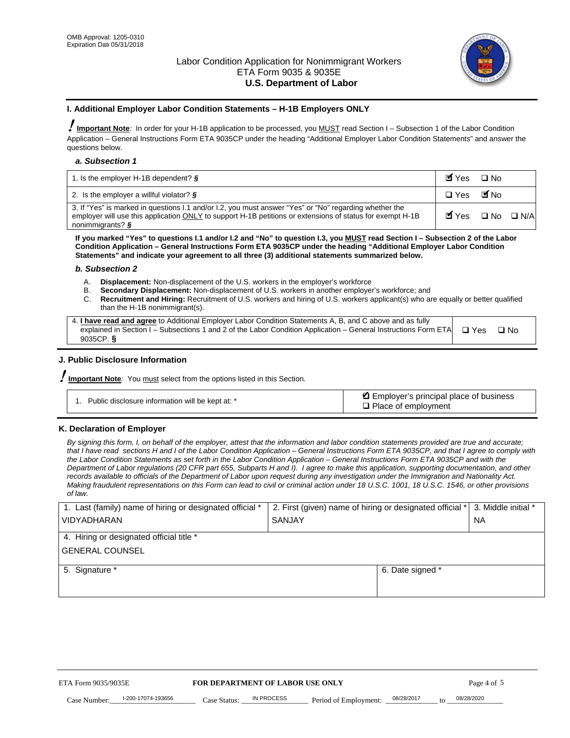

#### **I. Additional Employer Labor Condition Statements – H-1B Employers ONLY**

!**Important Note***:* In order for your H-1B application to be processed, you MUST read Section I – Subsection 1 of the Labor Condition Application – General Instructions Form ETA 9035CP under the heading "Additional Employer Labor Condition Statements" and answer the questions below.

#### *a. Subsection 1*

| 1. Is the employer H-1B dependent? $\S$                                                                                                                                                                                                 | Myes                                          | $\Box$ No              |  |
|-----------------------------------------------------------------------------------------------------------------------------------------------------------------------------------------------------------------------------------------|-----------------------------------------------|------------------------|--|
| 2. Is the employer a willful violator? $\frac{1}{2}$                                                                                                                                                                                    | $\Box$ Yes                                    | <b>M</b> <sub>No</sub> |  |
| 3. If "Yes" is marked in questions 1.1 and/or 1.2, you must answer "Yes" or "No" regarding whether the<br>employer will use this application ONLY to support H-1B petitions or extensions of status for exempt H-1B<br>nonimmigrants? § | $\blacksquare$ Yes $\square$ No $\square$ N/A |                        |  |

**If you marked "Yes" to questions I.1 and/or I.2 and "No" to question I.3, you MUST read Section I – Subsection 2 of the Labor Condition Application – General Instructions Form ETA 9035CP under the heading "Additional Employer Labor Condition Statements" and indicate your agreement to all three (3) additional statements summarized below.** 

#### *b. Subsection 2*

- A. **Displacement:** Non-displacement of the U.S. workers in the employer's workforce
- B. **Secondary Displacement:** Non-displacement of U.S. workers in another employer's workforce; and
- C. **Recruitment and Hiring:** Recruitment of U.S. workers and hiring of U.S. workers applicant(s) who are equally or better qualified than the H-1B nonimmigrant(s).

| 4. I have read and agree to Additional Employer Labor Condition Statements A, B, and C above and as fully                  |      |
|----------------------------------------------------------------------------------------------------------------------------|------|
| explained in Section I – Subsections 1 and 2 of the Labor Condition Application – General Instructions Form ETA $\Box$ Yes | ∩ Nח |
| 9035CP. $\delta$                                                                                                           |      |

# **J. Public Disclosure Information**

!**Important Note***:* You must select from the options listed in this Section.

| Public disclosure information will be kept at: * | Employer's principal place of business<br>$\Box$ Place of employment |
|--------------------------------------------------|----------------------------------------------------------------------|
|--------------------------------------------------|----------------------------------------------------------------------|

#### **K. Declaration of Employer**

*By signing this form, I, on behalf of the employer, attest that the information and labor condition statements provided are true and accurate;*  that I have read sections H and I of the Labor Condition Application – General Instructions Form ETA 9035CP, and that I agree to comply with *the Labor Condition Statements as set forth in the Labor Condition Application – General Instructions Form ETA 9035CP and with the Department of Labor regulations (20 CFR part 655, Subparts H and I). I agree to make this application, supporting documentation, and other records available to officials of the Department of Labor upon request during any investigation under the Immigration and Nationality Act. Making fraudulent representations on this Form can lead to civil or criminal action under 18 U.S.C. 1001, 18 U.S.C. 1546, or other provisions of law.* 

| 1. Last (family) name of hiring or designated official * | 2. First (given) name of hiring or designated official * |                                 | 3. Middle initial * |
|----------------------------------------------------------|----------------------------------------------------------|---------------------------------|---------------------|
| <b>VIDYADHARAN</b>                                       | <b>SANJAY</b>                                            |                                 | <b>NA</b>           |
| 4. Hiring or designated official title *                 |                                                          |                                 |                     |
| <b>GENERAL COUNSEL</b>                                   |                                                          |                                 |                     |
| 5. Signature *                                           |                                                          | 6. Date signed *                |                     |
|                                                          |                                                          |                                 |                     |
|                                                          |                                                          |                                 |                     |
|                                                          |                                                          |                                 |                     |
|                                                          |                                                          |                                 |                     |
| FOR DEPARTMENT OF LABOR USE ONLY<br>ETA Form 9035/9035E  |                                                          |                                 | Page 4 of 5         |
| I-200-17074-193656<br>Case Number<br>Case Status:        | IN PROCESS<br>Period of Employment:                      | 08/28/2017<br>$\mathsf{t} \cap$ | 08/28/2020          |